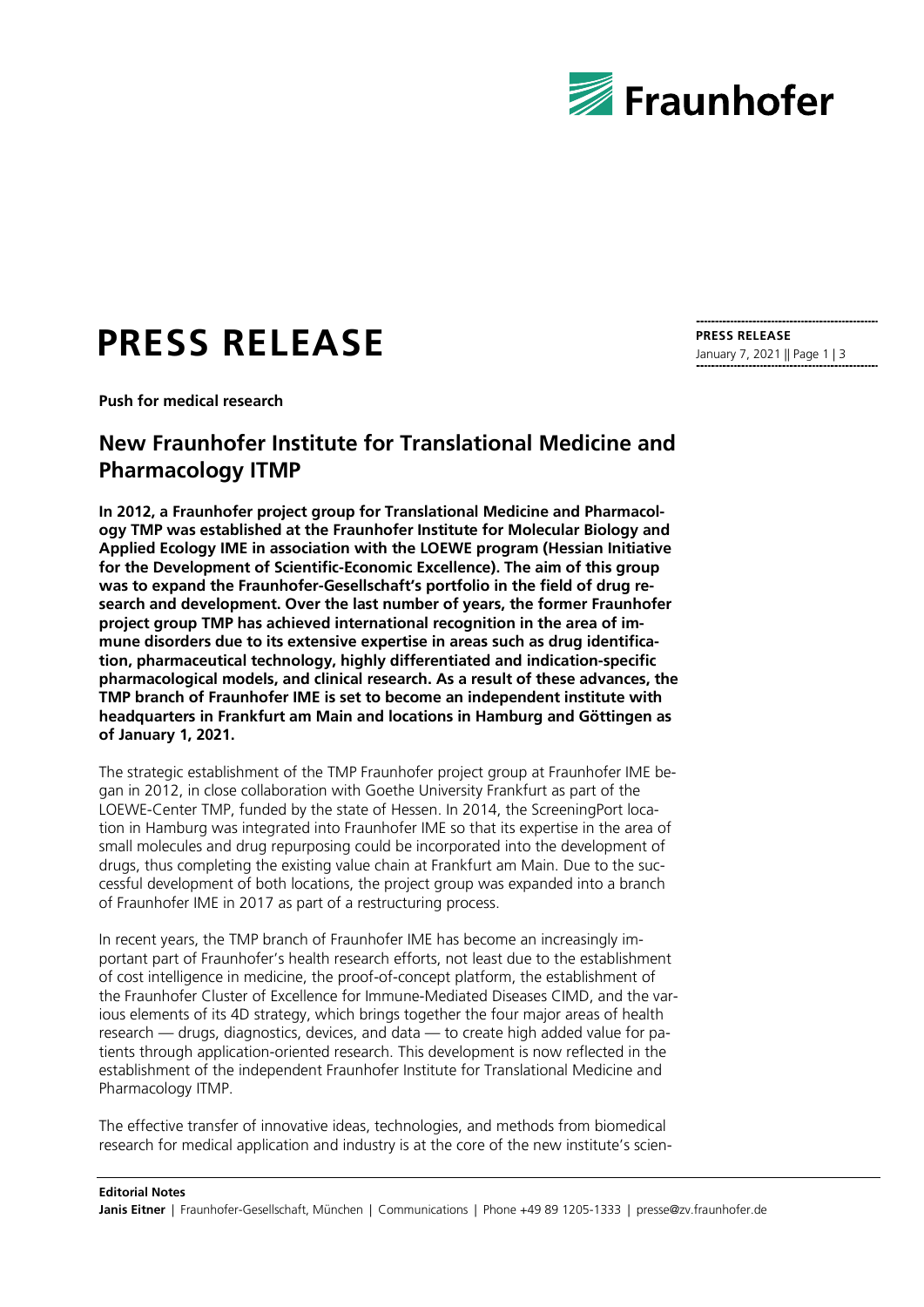

## **PRESS RELEASE**

**Push for medical research**

## **New Fraunhofer Institute for Translational Medicine and Pharmacology ITMP**

**In 2012, a Fraunhofer project group for Translational Medicine and Pharmacology TMP was established at the Fraunhofer Institute for Molecular Biology and Applied Ecology IME in association with the LOEWE program (Hessian Initiative for the Development of Scientific-Economic Excellence). The aim of this group was to expand the Fraunhofer-Gesellschaft's portfolio in the field of drug research and development. Over the last number of years, the former Fraunhofer project group TMP has achieved international recognition in the area of immune disorders due to its extensive expertise in areas such as drug identification, pharmaceutical technology, highly differentiated and indication-specific pharmacological models, and clinical research. As a result of these advances, the TMP branch of Fraunhofer IME is set to become an independent institute with headquarters in Frankfurt am Main and locations in Hamburg and Göttingen as of January 1, 2021.**

The strategic establishment of the TMP Fraunhofer project group at Fraunhofer IME began in 2012, in close collaboration with Goethe University Frankfurt as part of the LOEWE-Center TMP, funded by the state of Hessen. In 2014, the ScreeningPort location in Hamburg was integrated into Fraunhofer IME so that its expertise in the area of small molecules and drug repurposing could be incorporated into the development of drugs, thus completing the existing value chain at Frankfurt am Main. Due to the successful development of both locations, the project group was expanded into a branch of Fraunhofer IME in 2017 as part of a restructuring process.

In recent years, the TMP branch of Fraunhofer IME has become an increasingly important part of Fraunhofer's health research efforts, not least due to the establishment of cost intelligence in medicine, the proof-of-concept platform, the establishment of the Fraunhofer Cluster of Excellence for Immune-Mediated Diseases CIMD, and the various elements of its 4D strategy, which brings together the four major areas of health research — drugs, diagnostics, devices, and data — to create high added value for patients through application-oriented research. This development is now reflected in the establishment of the independent Fraunhofer Institute for Translational Medicine and Pharmacology ITMP.

The effective transfer of innovative ideas, technologies, and methods from biomedical research for medical application and industry is at the core of the new institute's scien-

## **PRESS RELEASE** January 7, 2021 || Page 1 | 3

**Editorial Notes** Janis Eitner | Fraunhofer-Gesellschaft, München | Communications | Phone +49 89 1205-1333 | presse@zv.fraunhofer.de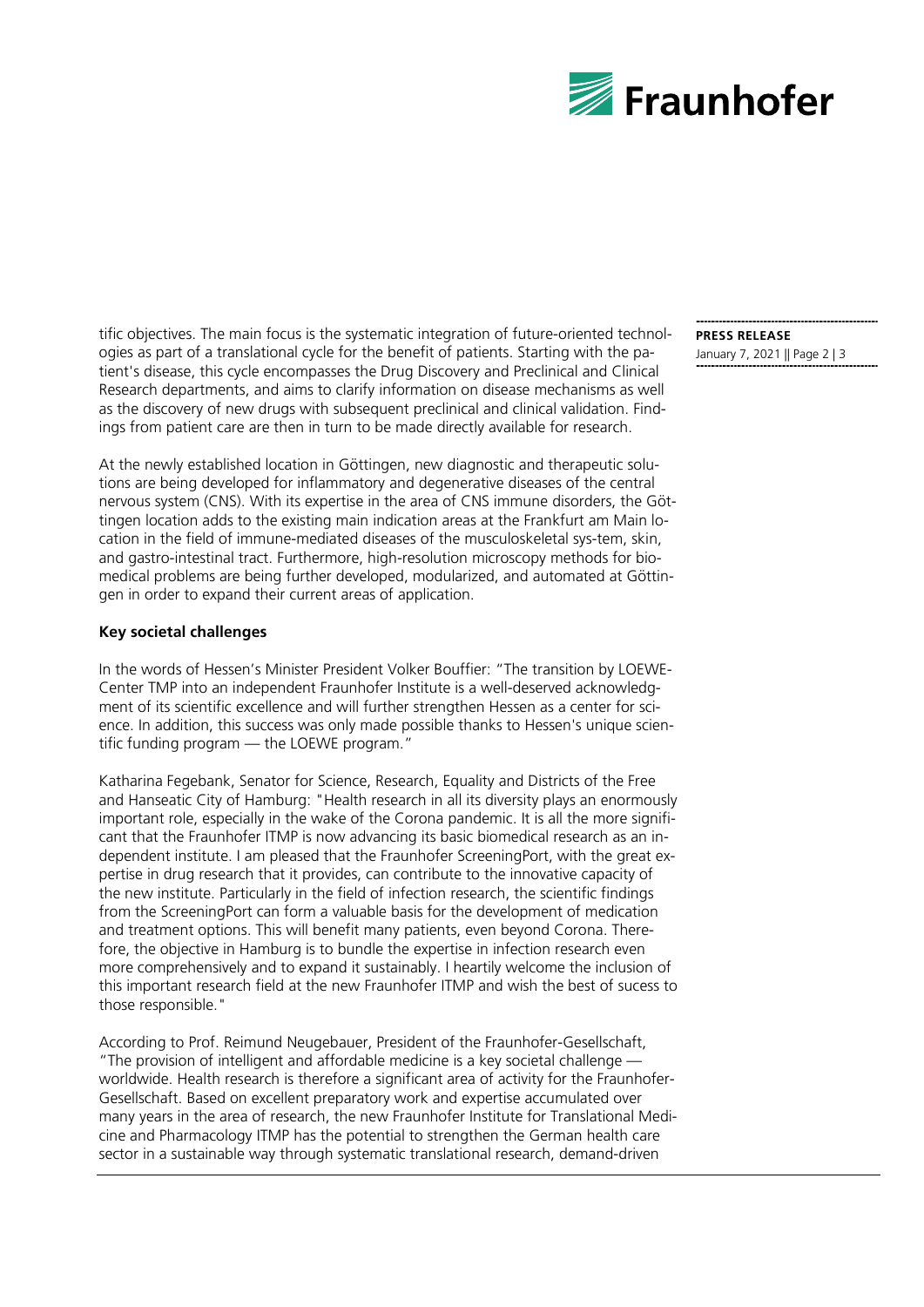

tific objectives. The main focus is the systematic integration of future-oriented technologies as part of a translational cycle for the benefit of patients. Starting with the patient's disease, this cycle encompasses the Drug Discovery and Preclinical and Clinical Research departments, and aims to clarify information on disease mechanisms as well as the discovery of new drugs with subsequent preclinical and clinical validation. Findings from patient care are then in turn to be made directly available for research.

At the newly established location in Göttingen, new diagnostic and therapeutic solutions are being developed for inflammatory and degenerative diseases of the central nervous system (CNS). With its expertise in the area of CNS immune disorders, the Göttingen location adds to the existing main indication areas at the Frankfurt am Main location in the field of immune-mediated diseases of the musculoskeletal sys-tem, skin, and gastro-intestinal tract. Furthermore, high-resolution microscopy methods for biomedical problems are being further developed, modularized, and automated at Göttingen in order to expand their current areas of application.

## **Key societal challenges**

In the words of Hessen's Minister President Volker Bouffier: "The transition by LOEWE-Center TMP into an independent Fraunhofer Institute is a well-deserved acknowledgment of its scientific excellence and will further strengthen Hessen as a center for science. In addition, this success was only made possible thanks to Hessen's unique scientific funding program — the LOEWE program."

Katharina Fegebank, Senator for Science, Research, Equality and Districts of the Free and Hanseatic City of Hamburg: "Health research in all its diversity plays an enormously important role, especially in the wake of the Corona pandemic. It is all the more significant that the Fraunhofer ITMP is now advancing its basic biomedical research as an independent institute. I am pleased that the Fraunhofer ScreeningPort, with the great expertise in drug research that it provides, can contribute to the innovative capacity of the new institute. Particularly in the field of infection research, the scientific findings from the ScreeningPort can form a valuable basis for the development of medication and treatment options. This will benefit many patients, even beyond Corona. Therefore, the objective in Hamburg is to bundle the expertise in infection research even more comprehensively and to expand it sustainably. I heartily welcome the inclusion of this important research field at the new Fraunhofer ITMP and wish the best of sucess to those responsible."

According to Prof. Reimund Neugebauer, President of the Fraunhofer-Gesellschaft, "The provision of intelligent and affordable medicine is a key societal challenge worldwide. Health research is therefore a significant area of activity for the Fraunhofer-Gesellschaft. Based on excellent preparatory work and expertise accumulated over many years in the area of research, the new Fraunhofer Institute for Translational Medicine and Pharmacology ITMP has the potential to strengthen the German health care sector in a sustainable way through systematic translational research, demand-driven

**PRESS RELEASE** January 7, 2021 || Page 2 | 3